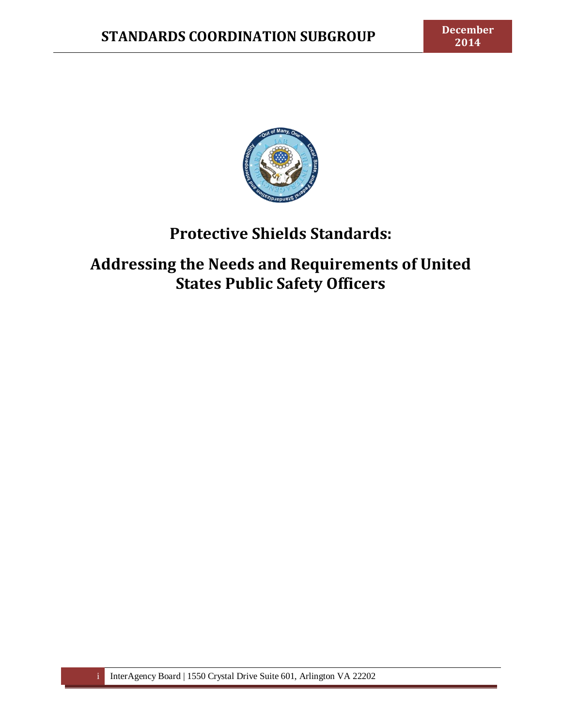

# **Protective Shields Standards:**

**Addressing the Needs and Requirements of United States Public Safety Officers**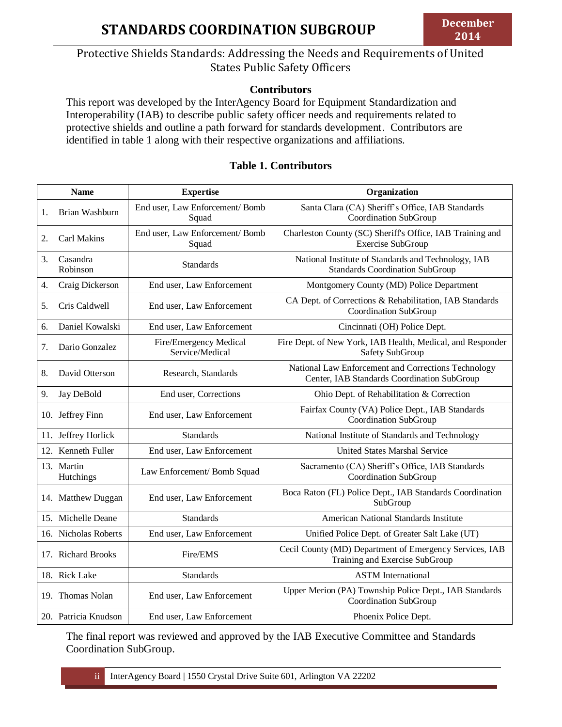# Protective Shields Standards: Addressing the Needs and Requirements of United States Public Safety Officers

#### **Contributors**

This report was developed by the InterAgency Board for Equipment Standardization and Interoperability (IAB) to describe public safety officer needs and requirements related to protective shields and outline a path forward for standards development. Contributors are identified in table 1 along with their respective organizations and affiliations.

#### **Table 1. Contributors**

|    | <b>Name</b>             | <b>Expertise</b>                          | Organization                                                                                       |
|----|-------------------------|-------------------------------------------|----------------------------------------------------------------------------------------------------|
| 1. | Brian Washburn          | End user, Law Enforcement/Bomb<br>Squad   | Santa Clara (CA) Sheriff's Office, IAB Standards<br>Coordination SubGroup                          |
| 2. | Carl Makins             | End user, Law Enforcement/Bomb<br>Squad   | Charleston County (SC) Sheriff's Office, IAB Training and<br>Exercise SubGroup                     |
| 3. | Casandra<br>Robinson    | <b>Standards</b>                          | National Institute of Standards and Technology, IAB<br><b>Standards Coordination SubGroup</b>      |
| 4. | Craig Dickerson         | End user, Law Enforcement                 | Montgomery County (MD) Police Department                                                           |
| 5. | Cris Caldwell           | End user, Law Enforcement                 | CA Dept. of Corrections & Rehabilitation, IAB Standards<br>Coordination SubGroup                   |
| 6. | Daniel Kowalski         | End user, Law Enforcement                 | Cincinnati (OH) Police Dept.                                                                       |
| 7. | Dario Gonzalez          | Fire/Emergency Medical<br>Service/Medical | Fire Dept. of New York, IAB Health, Medical, and Responder<br>Safety SubGroup                      |
| 8. | David Otterson          | Research, Standards                       | National Law Enforcement and Corrections Technology<br>Center, IAB Standards Coordination SubGroup |
| 9. | Jay DeBold              | End user, Corrections                     | Ohio Dept. of Rehabilitation & Correction                                                          |
|    | 10. Jeffrey Finn        | End user, Law Enforcement                 | Fairfax County (VA) Police Dept., IAB Standards<br>Coordination SubGroup                           |
|    | 11. Jeffrey Horlick     | <b>Standards</b>                          | National Institute of Standards and Technology                                                     |
|    | 12. Kenneth Fuller      | End user, Law Enforcement                 | <b>United States Marshal Service</b>                                                               |
|    | 13. Martin<br>Hutchings | Law Enforcement/ Bomb Squad               | Sacramento (CA) Sheriff's Office, IAB Standards<br>Coordination SubGroup                           |
|    | 14. Matthew Duggan      | End user, Law Enforcement                 | Boca Raton (FL) Police Dept., IAB Standards Coordination<br>SubGroup                               |
|    | 15. Michelle Deane      | Standards                                 | American National Standards Institute                                                              |
|    | 16. Nicholas Roberts    | End user, Law Enforcement                 | Unified Police Dept. of Greater Salt Lake (UT)                                                     |
|    | 17. Richard Brooks      | Fire/EMS                                  | Cecil County (MD) Department of Emergency Services, IAB<br>Training and Exercise SubGroup          |
|    | 18. Rick Lake           | <b>Standards</b>                          | <b>ASTM</b> International                                                                          |
|    | 19. Thomas Nolan        | End user, Law Enforcement                 | Upper Merion (PA) Township Police Dept., IAB Standards<br>Coordination SubGroup                    |
|    | 20. Patricia Knudson    | End user, Law Enforcement                 | Phoenix Police Dept.                                                                               |

The final report was reviewed and approved by the IAB Executive Committee and Standards Coordination SubGroup.

ii InterAgency Board | 1550 Crystal Drive Suite 601, Arlington VA 22202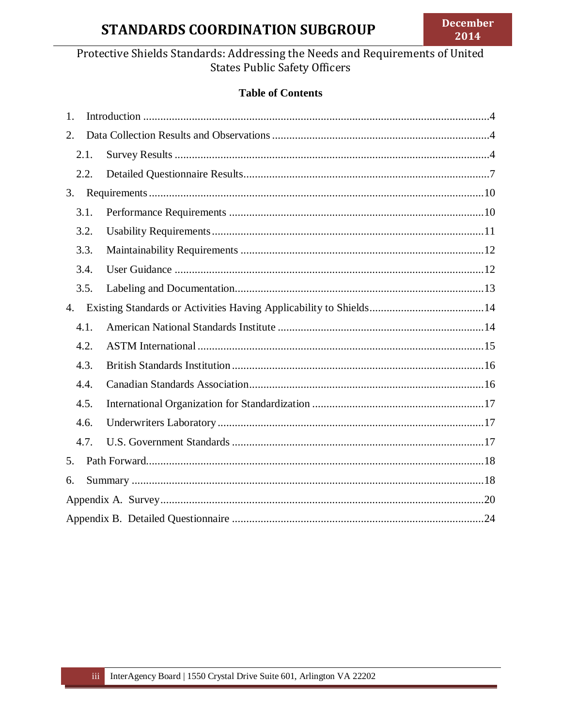# **STANDARDS COORDINATION SUBGROUP**

# Protective Shields Standards: Addressing the Needs and Requirements of United **States Public Safety Officers**

# **Table of Contents**

| 1. |      |  |  |  |  |
|----|------|--|--|--|--|
| 2. |      |  |  |  |  |
|    | 2.1. |  |  |  |  |
|    | 2.2. |  |  |  |  |
| 3. |      |  |  |  |  |
|    | 3.1. |  |  |  |  |
|    | 3.2. |  |  |  |  |
|    | 3.3. |  |  |  |  |
|    | 3.4. |  |  |  |  |
|    | 3.5. |  |  |  |  |
| 4. |      |  |  |  |  |
|    | 4.1. |  |  |  |  |
|    | 4.2. |  |  |  |  |
|    | 4.3. |  |  |  |  |
|    | 4.4. |  |  |  |  |
|    | 4.5. |  |  |  |  |
|    | 4.6. |  |  |  |  |
|    | 4.7. |  |  |  |  |
| 5. |      |  |  |  |  |
| 6. |      |  |  |  |  |
|    |      |  |  |  |  |
|    |      |  |  |  |  |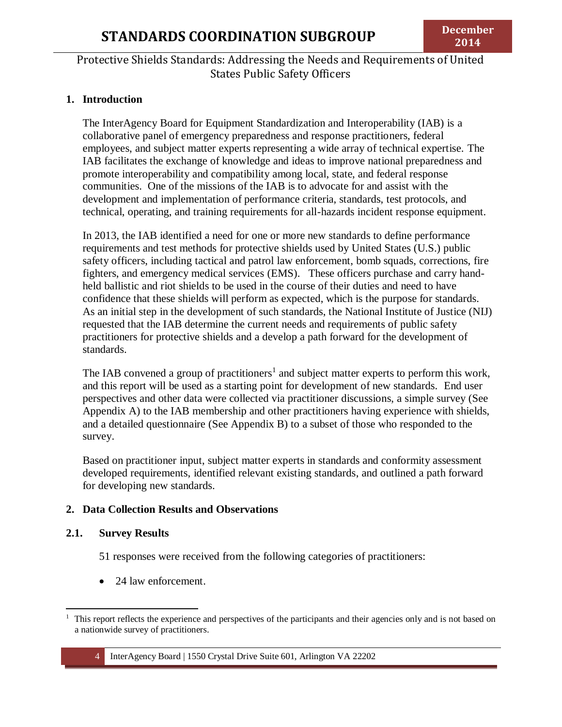#### <span id="page-3-0"></span>**1. Introduction**

The InterAgency Board for Equipment Standardization and Interoperability (IAB) is a collaborative panel of emergency preparedness and response practitioners, federal employees, and subject matter experts representing a wide array of technical expertise. The IAB facilitates the exchange of knowledge and ideas to improve national preparedness and promote interoperability and compatibility among local, state, and federal response communities. One of the missions of the IAB is to advocate for and assist with the development and implementation of performance criteria, standards, test protocols, and technical, operating, and training requirements for all-hazards incident response equipment.

In 2013, the IAB identified a need for one or more new standards to define performance requirements and test methods for protective shields used by United States (U.S.) public safety officers, including tactical and patrol law enforcement, bomb squads, corrections, fire fighters, and emergency medical services (EMS). These officers purchase and carry handheld ballistic and riot shields to be used in the course of their duties and need to have confidence that these shields will perform as expected, which is the purpose for standards. As an initial step in the development of such standards, the National Institute of Justice (NIJ) requested that the IAB determine the current needs and requirements of public safety practitioners for protective shields and a develop a path forward for the development of standards.

The IAB convened a group of practitioners<sup>1</sup> and subject matter experts to perform this work, and this report will be used as a starting point for development of new standards. End user perspectives and other data were collected via practitioner discussions, a simple survey (See Appendix A) to the IAB membership and other practitioners having experience with shields, and a detailed questionnaire (See Appendix B) to a subset of those who responded to the survey.

Based on practitioner input, subject matter experts in standards and conformity assessment developed requirements, identified relevant existing standards, and outlined a path forward for developing new standards.

#### <span id="page-3-1"></span>**2. Data Collection Results and Observations**

#### <span id="page-3-2"></span>**2.1. Survey Results**

51 responses were received from the following categories of practitioners:

• 24 law enforcement.

 $\overline{\phantom{a}}$ <sup>1</sup> This report reflects the experience and perspectives of the participants and their agencies only and is not based on a nationwide survey of practitioners.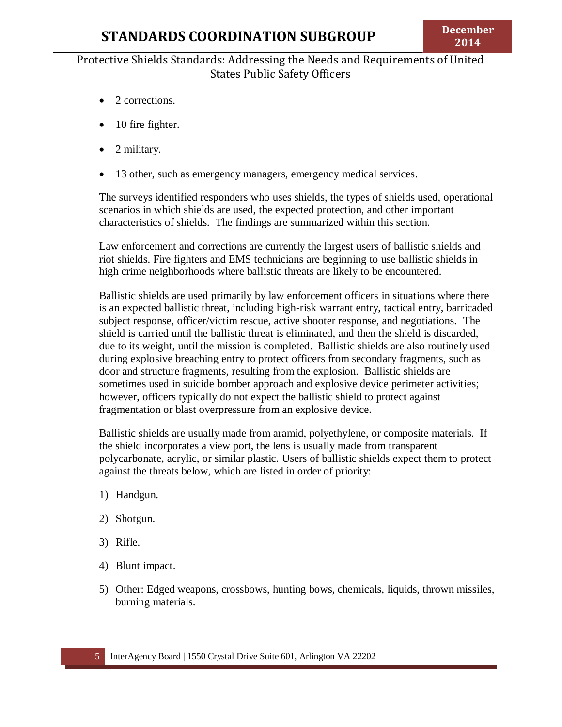- 2 corrections.
- 10 fire fighter.
- 2 military.
- 13 other, such as emergency managers, emergency medical services.

The surveys identified responders who uses shields, the types of shields used, operational scenarios in which shields are used, the expected protection, and other important characteristics of shields. The findings are summarized within this section.

Law enforcement and corrections are currently the largest users of ballistic shields and riot shields. Fire fighters and EMS technicians are beginning to use ballistic shields in high crime neighborhoods where ballistic threats are likely to be encountered.

Ballistic shields are used primarily by law enforcement officers in situations where there is an expected ballistic threat, including high-risk warrant entry, tactical entry, barricaded subject response, officer/victim rescue, active shooter response, and negotiations. The shield is carried until the ballistic threat is eliminated, and then the shield is discarded, due to its weight, until the mission is completed. Ballistic shields are also routinely used during explosive breaching entry to protect officers from secondary fragments, such as door and structure fragments, resulting from the explosion. Ballistic shields are sometimes used in suicide bomber approach and explosive device perimeter activities; however, officers typically do not expect the ballistic shield to protect against fragmentation or blast overpressure from an explosive device.

Ballistic shields are usually made from aramid, polyethylene, or composite materials. If the shield incorporates a view port, the lens is usually made from transparent polycarbonate, acrylic, or similar plastic. Users of ballistic shields expect them to protect against the threats below, which are listed in order of priority:

- 1) Handgun.
- 2) Shotgun.
- 3) Rifle.
- 4) Blunt impact.
- 5) Other: Edged weapons, crossbows, hunting bows, chemicals, liquids, thrown missiles, burning materials.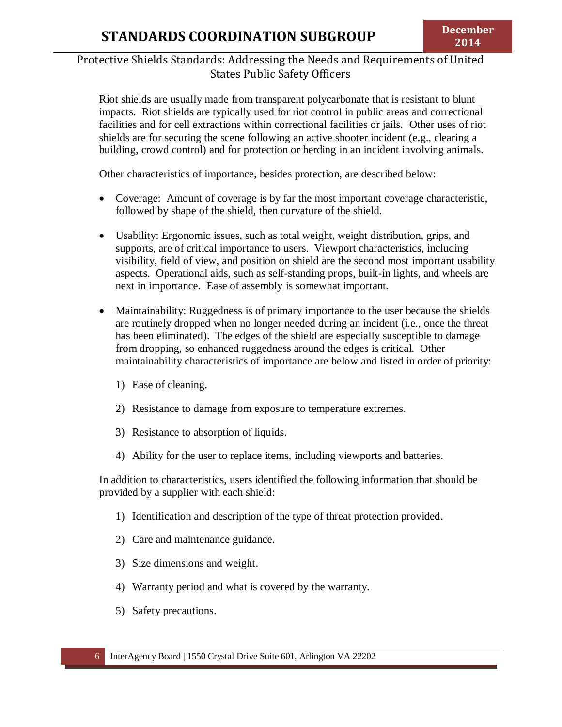Riot shields are usually made from transparent polycarbonate that is resistant to blunt impacts. Riot shields are typically used for riot control in public areas and correctional facilities and for cell extractions within correctional facilities or jails. Other uses of riot shields are for securing the scene following an active shooter incident (e.g., clearing a building, crowd control) and for protection or herding in an incident involving animals.

Other characteristics of importance, besides protection, are described below:

- Coverage: Amount of coverage is by far the most important coverage characteristic, followed by shape of the shield, then curvature of the shield.
- Usability: Ergonomic issues, such as total weight, weight distribution, grips, and supports, are of critical importance to users. Viewport characteristics, including visibility, field of view, and position on shield are the second most important usability aspects. Operational aids, such as self-standing props, built-in lights, and wheels are next in importance. Ease of assembly is somewhat important.
- Maintainability: Ruggedness is of primary importance to the user because the shields are routinely dropped when no longer needed during an incident (i.e., once the threat has been eliminated). The edges of the shield are especially susceptible to damage from dropping, so enhanced ruggedness around the edges is critical. Other maintainability characteristics of importance are below and listed in order of priority:
	- 1) Ease of cleaning.
	- 2) Resistance to damage from exposure to temperature extremes.
	- 3) Resistance to absorption of liquids.
	- 4) Ability for the user to replace items, including viewports and batteries.

In addition to characteristics, users identified the following information that should be provided by a supplier with each shield:

- 1) Identification and description of the type of threat protection provided.
- 2) Care and maintenance guidance.
- 3) Size dimensions and weight.
- 4) Warranty period and what is covered by the warranty.
- 5) Safety precautions.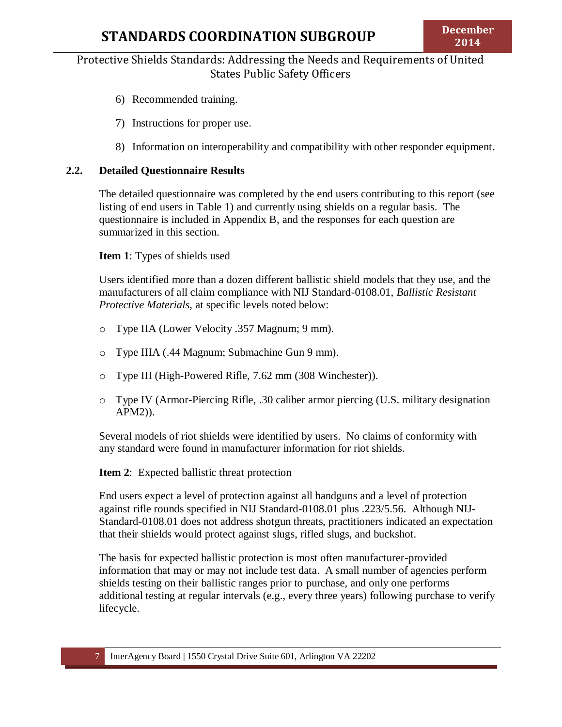- 6) Recommended training.
- 7) Instructions for proper use.
- 8) Information on interoperability and compatibility with other responder equipment.

#### <span id="page-6-0"></span>**2.2. Detailed Questionnaire Results**

The detailed questionnaire was completed by the end users contributing to this report (see listing of end users in Table 1) and currently using shields on a regular basis. The questionnaire is included in Appendix B, and the responses for each question are summarized in this section.

**Item 1**: Types of shields used

Users identified more than a dozen different ballistic shield models that they use, and the manufacturers of all claim compliance with NIJ Standard-0108.01, *Ballistic Resistant Protective Materials*, at specific levels noted below:

- o Type IIA (Lower Velocity .357 Magnum; 9 mm).
- o Type IIIA (.44 Magnum; Submachine Gun 9 mm).
- o Type III (High-Powered Rifle, 7.62 mm (308 Winchester)).
- o Type IV (Armor-Piercing Rifle, .30 caliber armor piercing (U.S. military designation APM2)).

Several models of riot shields were identified by users. No claims of conformity with any standard were found in manufacturer information for riot shields.

**Item 2**: Expected ballistic threat protection

End users expect a level of protection against all handguns and a level of protection against rifle rounds specified in NIJ Standard-0108.01 plus .223/5.56. Although NIJ-Standard-0108.01 does not address shotgun threats, practitioners indicated an expectation that their shields would protect against slugs, rifled slugs, and buckshot.

The basis for expected ballistic protection is most often manufacturer-provided information that may or may not include test data. A small number of agencies perform shields testing on their ballistic ranges prior to purchase, and only one performs additional testing at regular intervals (e.g., every three years) following purchase to verify lifecycle.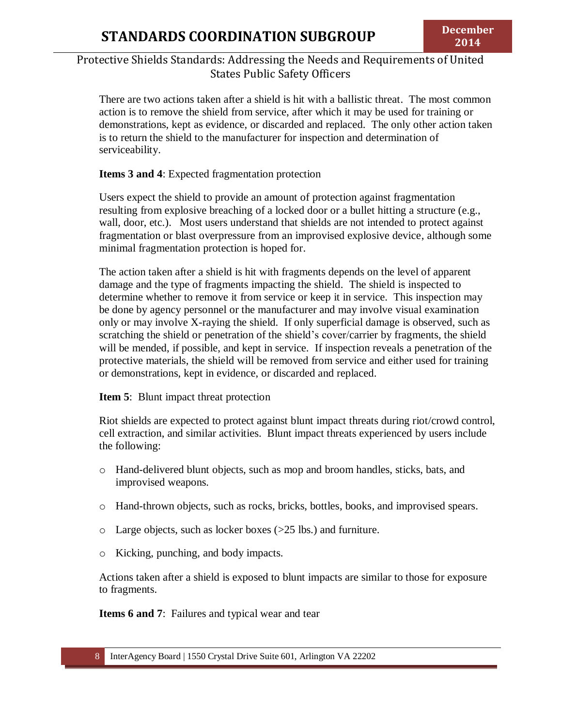There are two actions taken after a shield is hit with a ballistic threat. The most common action is to remove the shield from service, after which it may be used for training or demonstrations, kept as evidence, or discarded and replaced. The only other action taken is to return the shield to the manufacturer for inspection and determination of serviceability.

#### **Items 3 and 4**: Expected fragmentation protection

Users expect the shield to provide an amount of protection against fragmentation resulting from explosive breaching of a locked door or a bullet hitting a structure (e.g., wall, door, etc.). Most users understand that shields are not intended to protect against fragmentation or blast overpressure from an improvised explosive device, although some minimal fragmentation protection is hoped for.

The action taken after a shield is hit with fragments depends on the level of apparent damage and the type of fragments impacting the shield. The shield is inspected to determine whether to remove it from service or keep it in service. This inspection may be done by agency personnel or the manufacturer and may involve visual examination only or may involve X-raying the shield. If only superficial damage is observed, such as scratching the shield or penetration of the shield's cover/carrier by fragments, the shield will be mended, if possible, and kept in service. If inspection reveals a penetration of the protective materials, the shield will be removed from service and either used for training or demonstrations, kept in evidence, or discarded and replaced.

#### **Item 5**: Blunt impact threat protection

Riot shields are expected to protect against blunt impact threats during riot/crowd control, cell extraction, and similar activities. Blunt impact threats experienced by users include the following:

- o Hand-delivered blunt objects, such as mop and broom handles, sticks, bats, and improvised weapons.
- o Hand-thrown objects, such as rocks, bricks, bottles, books, and improvised spears.
- o Large objects, such as locker boxes (>25 lbs.) and furniture.
- o Kicking, punching, and body impacts.

Actions taken after a shield is exposed to blunt impacts are similar to those for exposure to fragments.

**Items 6 and 7**: Failures and typical wear and tear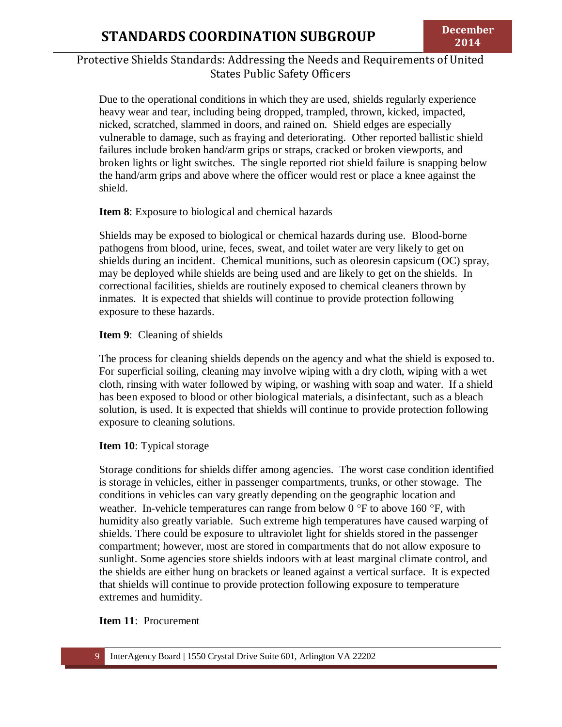Due to the operational conditions in which they are used, shields regularly experience heavy wear and tear, including being dropped, trampled, thrown, kicked, impacted, nicked, scratched, slammed in doors, and rained on. Shield edges are especially vulnerable to damage, such as fraying and deteriorating. Other reported ballistic shield failures include broken hand/arm grips or straps, cracked or broken viewports, and broken lights or light switches. The single reported riot shield failure is snapping below the hand/arm grips and above where the officer would rest or place a knee against the shield.

#### **Item 8**: Exposure to biological and chemical hazards

Shields may be exposed to biological or chemical hazards during use. Blood-borne pathogens from blood, urine, feces, sweat, and toilet water are very likely to get on shields during an incident. Chemical munitions, such as oleoresin capsicum (OC) spray, may be deployed while shields are being used and are likely to get on the shields. In correctional facilities, shields are routinely exposed to chemical cleaners thrown by inmates. It is expected that shields will continue to provide protection following exposure to these hazards.

#### **Item 9**: Cleaning of shields

The process for cleaning shields depends on the agency and what the shield is exposed to. For superficial soiling, cleaning may involve wiping with a dry cloth, wiping with a wet cloth, rinsing with water followed by wiping, or washing with soap and water. If a shield has been exposed to blood or other biological materials, a disinfectant, such as a bleach solution, is used. It is expected that shields will continue to provide protection following exposure to cleaning solutions.

#### **Item 10**: Typical storage

Storage conditions for shields differ among agencies. The worst case condition identified is storage in vehicles, either in passenger compartments, trunks, or other stowage. The conditions in vehicles can vary greatly depending on the geographic location and weather. In-vehicle temperatures can range from below 0  $\degree$ F to above 160  $\degree$ F, with humidity also greatly variable. Such extreme high temperatures have caused warping of shields. There could be exposure to ultraviolet light for shields stored in the passenger compartment; however, most are stored in compartments that do not allow exposure to sunlight. Some agencies store shields indoors with at least marginal climate control, and the shields are either hung on brackets or leaned against a vertical surface. It is expected that shields will continue to provide protection following exposure to temperature extremes and humidity.

#### **Item 11**: Procurement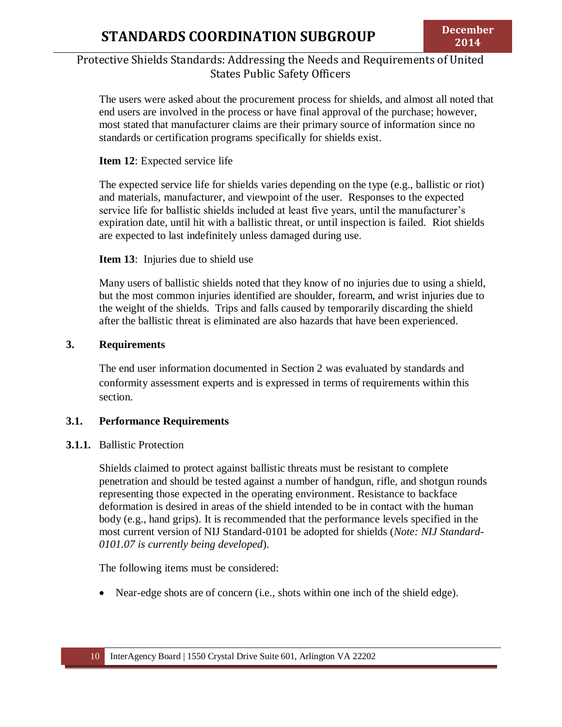The users were asked about the procurement process for shields, and almost all noted that end users are involved in the process or have final approval of the purchase; however, most stated that manufacturer claims are their primary source of information since no standards or certification programs specifically for shields exist.

#### **Item 12**: Expected service life

The expected service life for shields varies depending on the type (e.g., ballistic or riot) and materials, manufacturer, and viewpoint of the user. Responses to the expected service life for ballistic shields included at least five years, until the manufacturer's expiration date, until hit with a ballistic threat, or until inspection is failed. Riot shields are expected to last indefinitely unless damaged during use.

#### **Item 13**: Injuries due to shield use

Many users of ballistic shields noted that they know of no injuries due to using a shield, but the most common injuries identified are shoulder, forearm, and wrist injuries due to the weight of the shields. Trips and falls caused by temporarily discarding the shield after the ballistic threat is eliminated are also hazards that have been experienced.

#### <span id="page-9-0"></span>**3. Requirements**

The end user information documented in Section 2 was evaluated by standards and conformity assessment experts and is expressed in terms of requirements within this section.

### <span id="page-9-1"></span>**3.1. Performance Requirements**

#### **3.1.1.** Ballistic Protection

Shields claimed to protect against ballistic threats must be resistant to complete penetration and should be tested against a number of handgun, rifle, and shotgun rounds representing those expected in the operating environment. Resistance to backface deformation is desired in areas of the shield intended to be in contact with the human body (e.g., hand grips). It is recommended that the performance levels specified in the most current version of NIJ Standard-0101 be adopted for shields (*Note: NIJ Standard-0101.07 is currently being developed*).

The following items must be considered:

Near-edge shots are of concern (i.e., shots within one inch of the shield edge).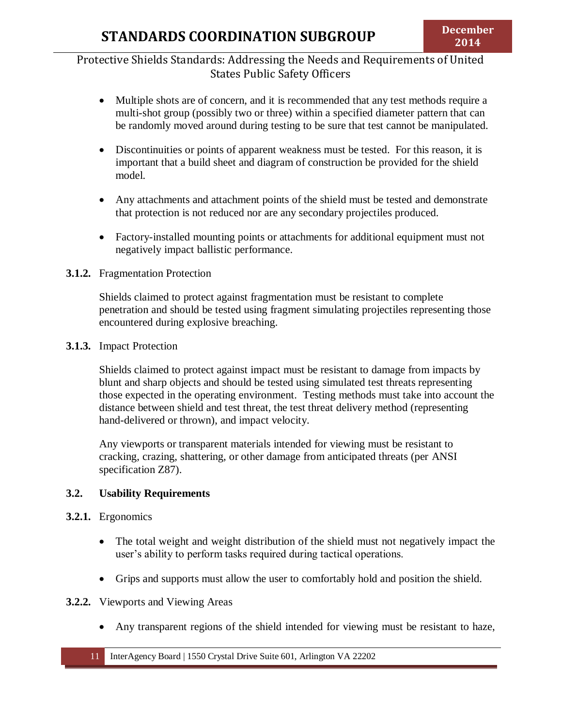- Multiple shots are of concern, and it is recommended that any test methods require a multi-shot group (possibly two or three) within a specified diameter pattern that can be randomly moved around during testing to be sure that test cannot be manipulated.
- Discontinuities or points of apparent weakness must be tested. For this reason, it is important that a build sheet and diagram of construction be provided for the shield model.
- Any attachments and attachment points of the shield must be tested and demonstrate that protection is not reduced nor are any secondary projectiles produced.
- Factory-installed mounting points or attachments for additional equipment must not negatively impact ballistic performance.

#### **3.1.2.** Fragmentation Protection

Shields claimed to protect against fragmentation must be resistant to complete penetration and should be tested using fragment simulating projectiles representing those encountered during explosive breaching.

#### **3.1.3.** Impact Protection

Shields claimed to protect against impact must be resistant to damage from impacts by blunt and sharp objects and should be tested using simulated test threats representing those expected in the operating environment. Testing methods must take into account the distance between shield and test threat, the test threat delivery method (representing hand-delivered or thrown), and impact velocity.

Any viewports or transparent materials intended for viewing must be resistant to cracking, crazing, shattering, or other damage from anticipated threats (per ANSI specification Z87).

### <span id="page-10-0"></span>**3.2. Usability Requirements**

#### **3.2.1.** Ergonomics

- The total weight and weight distribution of the shield must not negatively impact the user's ability to perform tasks required during tactical operations.
- Grips and supports must allow the user to comfortably hold and position the shield.

#### **3.2.2.** Viewports and Viewing Areas

Any transparent regions of the shield intended for viewing must be resistant to haze,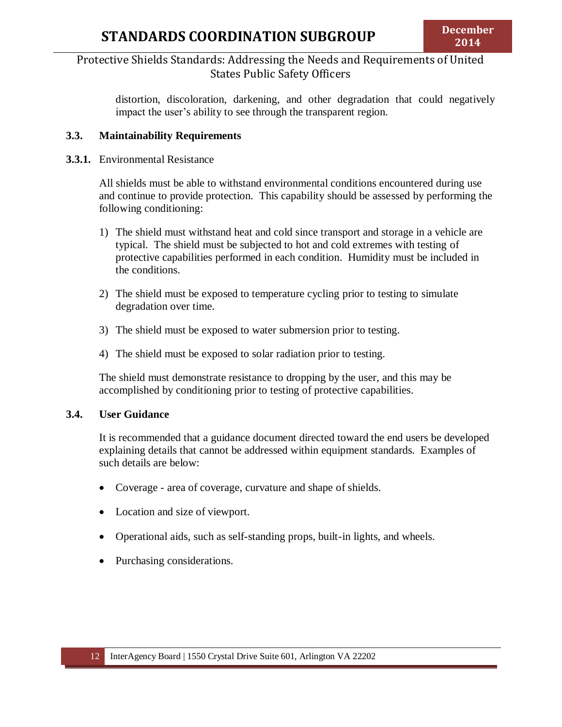distortion, discoloration, darkening, and other degradation that could negatively impact the user's ability to see through the transparent region.

#### <span id="page-11-0"></span>**3.3. Maintainability Requirements**

#### **3.3.1.** Environmental Resistance

All shields must be able to withstand environmental conditions encountered during use and continue to provide protection. This capability should be assessed by performing the following conditioning:

- 1) The shield must withstand heat and cold since transport and storage in a vehicle are typical. The shield must be subjected to hot and cold extremes with testing of protective capabilities performed in each condition. Humidity must be included in the conditions.
- 2) The shield must be exposed to temperature cycling prior to testing to simulate degradation over time.
- 3) The shield must be exposed to water submersion prior to testing.
- 4) The shield must be exposed to solar radiation prior to testing.

The shield must demonstrate resistance to dropping by the user, and this may be accomplished by conditioning prior to testing of protective capabilities.

### <span id="page-11-1"></span>**3.4. User Guidance**

It is recommended that a guidance document directed toward the end users be developed explaining details that cannot be addressed within equipment standards. Examples of such details are below:

- Coverage area of coverage, curvature and shape of shields.
- Location and size of viewport.
- Operational aids, such as self-standing props, built-in lights, and wheels.
- Purchasing considerations.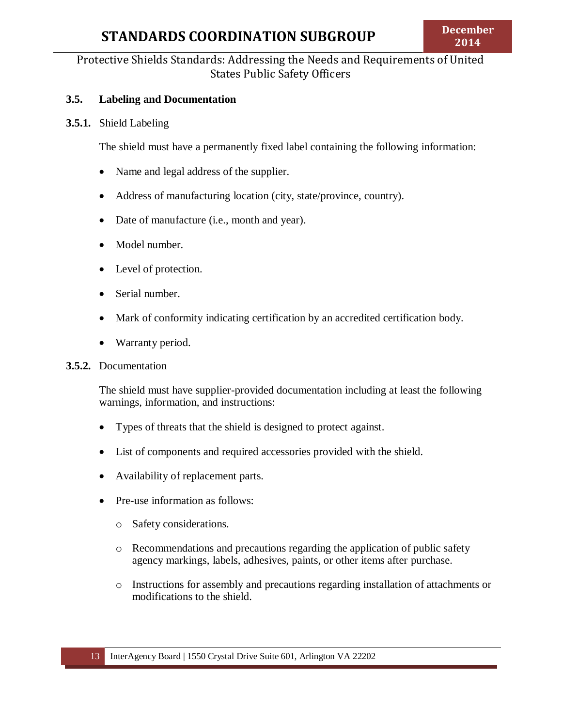## Protective Shields Standards: Addressing the Needs and Requirements of United States Public Safety Officers

#### <span id="page-12-0"></span>**3.5. Labeling and Documentation**

#### **3.5.1.** Shield Labeling

The shield must have a permanently fixed label containing the following information:

- Name and legal address of the supplier.
- Address of manufacturing location (city, state/province, country).
- Date of manufacture (i.e., month and year).
- Model number.
- Level of protection.
- Serial number.
- Mark of conformity indicating certification by an accredited certification body.
- Warranty period.

#### **3.5.2.** Documentation

The shield must have supplier-provided documentation including at least the following warnings, information, and instructions:

- Types of threats that the shield is designed to protect against.
- List of components and required accessories provided with the shield.
- Availability of replacement parts.
- Pre-use information as follows:
	- o Safety considerations.
	- o Recommendations and precautions regarding the application of public safety agency markings, labels, adhesives, paints, or other items after purchase.
	- o Instructions for assembly and precautions regarding installation of attachments or modifications to the shield.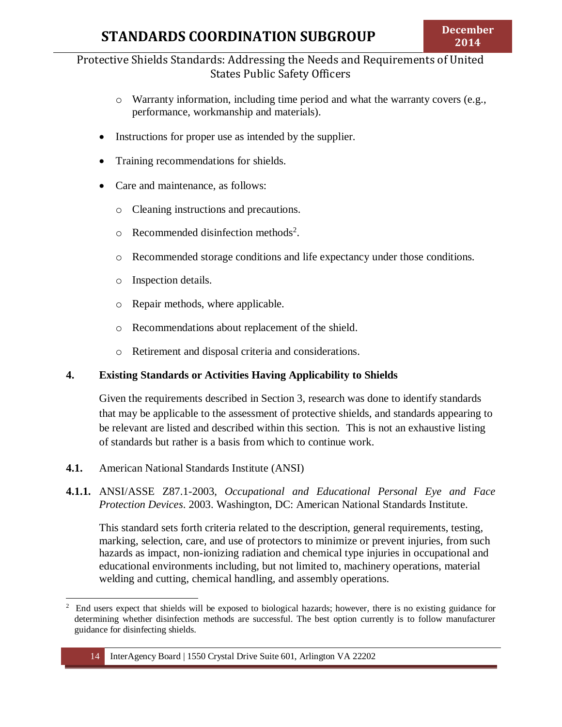- $\circ$  Warranty information, including time period and what the warranty covers (e.g., performance, workmanship and materials).
- Instructions for proper use as intended by the supplier.
- Training recommendations for shields.
- Care and maintenance, as follows:
	- o Cleaning instructions and precautions.
	- $\circ$  Recommended disinfection methods<sup>2</sup>.
	- o Recommended storage conditions and life expectancy under those conditions.
	- o Inspection details.
	- o Repair methods, where applicable.
	- o Recommendations about replacement of the shield.
	- o Retirement and disposal criteria and considerations.

### <span id="page-13-0"></span>**4. Existing Standards or Activities Having Applicability to Shields**

Given the requirements described in Section 3, research was done to identify standards that may be applicable to the assessment of protective shields, and standards appearing to be relevant are listed and described within this section. This is not an exhaustive listing of standards but rather is a basis from which to continue work.

- <span id="page-13-1"></span>**4.1.** American National Standards Institute (ANSI)
- **4.1.1.** ANSI/ASSE Z87.1-2003, *Occupational and Educational Personal Eye and Face Protection Devices*. 2003. Washington, DC: American National Standards Institute.

This standard sets forth criteria related to the description, general requirements, testing, marking, selection, care, and use of protectors to minimize or prevent injuries, from such hazards as impact, non-ionizing radiation and chemical type injuries in occupational and educational environments including, but not limited to, machinery operations, material welding and cutting, chemical handling, and assembly operations.

<sup>&</sup>lt;sup>2</sup> End users expect that shields will be exposed to biological hazards; however, there is no existing guidance for determining whether disinfection methods are successful. The best option currently is to follow manufacturer guidance for disinfecting shields.

<sup>14</sup> InterAgency Board | 1550 Crystal Drive Suite 601, Arlington VA 22202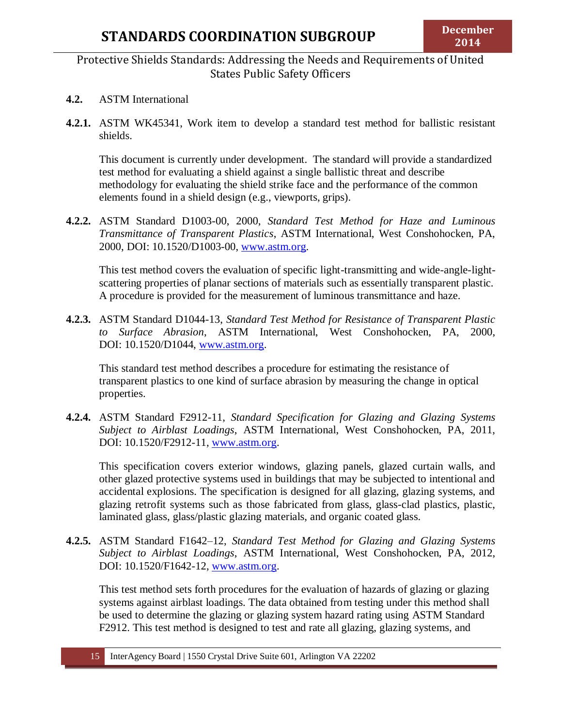- <span id="page-14-0"></span>**4.2.** ASTM International
- **4.2.1.** ASTM WK45341, Work item to develop a standard test method for ballistic resistant shields.

This document is currently under development. The standard will provide a standardized test method for evaluating a shield against a single ballistic threat and describe methodology for evaluating the shield strike face and the performance of the common elements found in a shield design (e.g., viewports, grips).

**4.2.2.** ASTM Standard D1003-00, 2000, *Standard Test Method for Haze and Luminous Transmittance of Transparent Plastics*, ASTM International, West Conshohocken, PA, 2000, DOI: 10.1520/D1003-00, [www.astm.org.](http://www.astm.org/)

This test method covers the evaluation of specific light-transmitting and wide-angle-lightscattering properties of planar sections of materials such as essentially transparent plastic. A procedure is provided for the measurement of luminous transmittance and haze.

**4.2.3.** ASTM Standard D1044-13, *Standard Test Method for Resistance of Transparent Plastic to Surface Abrasion*, ASTM International, West Conshohocken, PA, 2000, DOI: 10.1520/D1044, [www.astm.org.](http://www.astm.org/)

This standard test method describes a procedure for estimating the resistance of transparent plastics to one kind of surface abrasion by measuring the change in optical properties.

**4.2.4.** ASTM Standard F2912-11, *Standard Specification for Glazing and Glazing Systems Subject to Airblast Loadings*, ASTM International, West Conshohocken, PA, 2011, DOI: 10.1520/F2912-11, [www.astm.org.](http://www.astm.org/)

This specification covers exterior windows, glazing panels, glazed curtain walls, and other glazed protective systems used in buildings that may be subjected to intentional and accidental explosions. The specification is designed for all glazing, glazing systems, and glazing retrofit systems such as those fabricated from glass, glass-clad plastics, plastic, laminated glass, glass/plastic glazing materials, and organic coated glass.

**4.2.5.** ASTM Standard F1642–12, *Standard Test Method for Glazing and Glazing Systems Subject to Airblast Loadings*, ASTM International, West Conshohocken, PA, 2012, DOI: 10.1520/F1642-12, [www.astm.org.](http://www.astm.org/)

This test method sets forth procedures for the evaluation of hazards of glazing or glazing systems against airblast loadings. The data obtained from testing under this method shall be used to determine the glazing or glazing system hazard rating using ASTM Standard F2912. This test method is designed to test and rate all glazing, glazing systems, and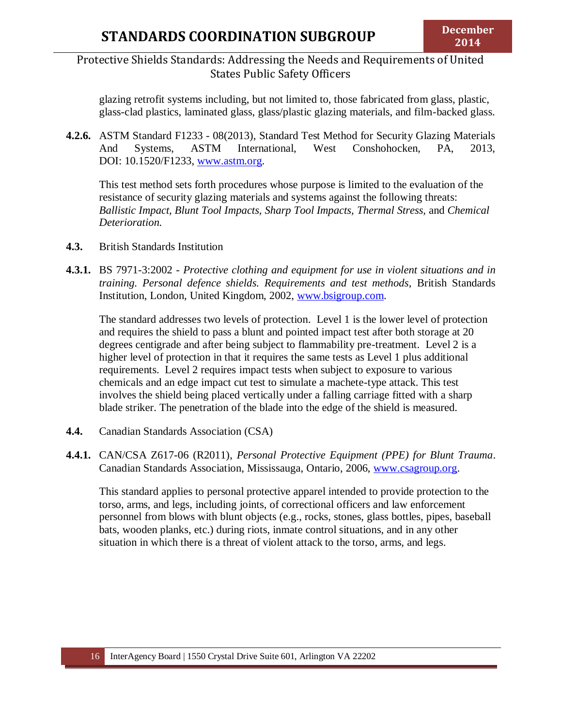glazing retrofit systems including, but not limited to, those fabricated from glass, plastic, glass-clad plastics, laminated glass, glass/plastic glazing materials, and film-backed glass.

**4.2.6.** ASTM Standard F1233 - 08(2013), Standard Test Method for Security Glazing Materials And Systems, ASTM International, West Conshohocken, PA, 2013, DOI: 10.1520/F1233, [www.astm.org.](http://www.astm.org/)

This test method sets forth procedures whose purpose is limited to the evaluation of the resistance of security glazing materials and systems against the following threats: *Ballistic Impact, Blunt Tool Impacts, Sharp Tool Impacts, Thermal Stress,* and *Chemical Deterioration.*

- <span id="page-15-0"></span>**4.3.** British Standards Institution
- **4.3.1.** BS 7971-3:2002 *Protective clothing and equipment for use in violent situations and in training. Personal defence shields. Requirements and test methods*, British Standards Institution, London, United Kingdom, 2002, [www.bsigroup.com.](http://www.bsigroup.com/)

The standard addresses two levels of protection. Level 1 is the lower level of protection and requires the shield to pass a blunt and pointed impact test after both storage at 20 degrees centigrade and after being subject to flammability pre-treatment. Level 2 is a higher level of protection in that it requires the same tests as Level 1 plus additional requirements. Level 2 requires impact tests when subject to exposure to various chemicals and an edge impact cut test to simulate a machete-type attack. This test involves the shield being placed vertically under a falling carriage fitted with a sharp blade striker. The penetration of the blade into the edge of the shield is measured.

- <span id="page-15-1"></span>**4.4.** Canadian Standards Association (CSA)
- **4.4.1.** CAN/CSA Z617-06 (R2011), *Personal Protective Equipment (PPE) for Blunt Trauma*. Canadian Standards Association, Mississauga, Ontario, 2006, [www.csagroup.org.](http://www.csagroup.org/)

This standard applies to personal protective apparel intended to provide protection to the torso, arms, and legs, including joints, of correctional officers and law enforcement personnel from blows with blunt objects (e.g., rocks, stones, glass bottles, pipes, baseball bats, wooden planks, etc.) during riots, inmate control situations, and in any other situation in which there is a threat of violent attack to the torso, arms, and legs.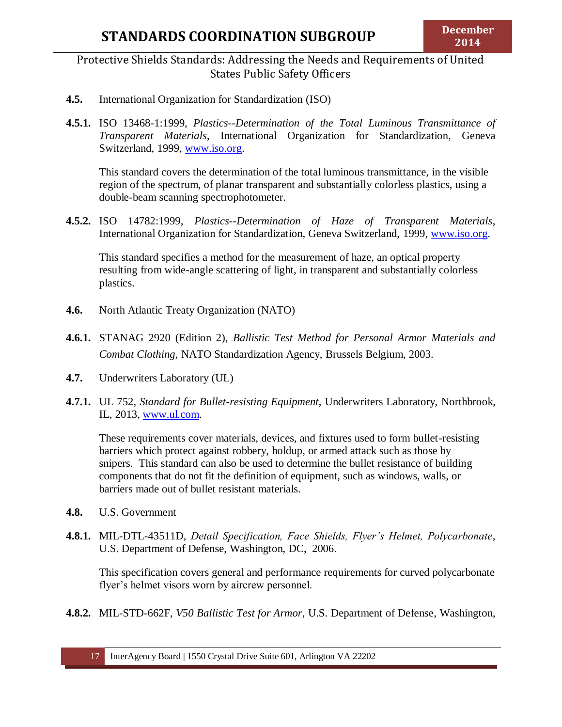## Protective Shields Standards: Addressing the Needs and Requirements of United States Public Safety Officers

- <span id="page-16-0"></span>**4.5.** International Organization for Standardization (ISO)
- **4.5.1.** ISO 13468-1:1999, *Plastics--Determination of the Total Luminous Transmittance of Transparent Materials*, International Organization for Standardization, Geneva Switzerland, 1999, [www.iso.org.](http://www.iso.org/)

This standard covers the determination of the total luminous transmittance, in the visible region of the spectrum, of planar transparent and substantially colorless plastics, using a double-beam scanning spectrophotometer.

**4.5.2.** ISO 14782:1999, *Plastics--Determination of Haze of Transparent Materials*, International Organization for Standardization, Geneva Switzerland, 1999, [www.iso.org.](http://www.iso.org/)

This standard specifies a method for the measurement of haze, an optical property resulting from wide-angle scattering of light, in transparent and substantially colorless plastics.

- <span id="page-16-1"></span>**4.6.** North Atlantic Treaty Organization (NATO)
- **4.6.1.** STANAG 2920 (Edition 2), *Ballistic Test Method for Personal Armor Materials and Combat Clothing*, NATO Standardization Agency, Brussels Belgium, 2003.
- **4.7.** Underwriters Laboratory (UL)
- **4.7.1.** UL 752, *Standard for Bullet-resisting Equipment*, Underwriters Laboratory, Northbrook, IL, 2013, [www.ul.com.](http://www.ul.com/)

These requirements cover materials, devices, and fixtures used to form bullet-resisting barriers which protect against robbery, holdup, or armed attack such as those by snipers. This standard can also be used to determine the bullet resistance of building components that do not fit the definition of equipment, such as windows, walls, or barriers made out of bullet resistant materials.

- <span id="page-16-2"></span>**4.8.** U.S. Government
- **4.8.1.** MIL-DTL-43511D, *Detail Specification, Face Shields, Flyer's Helmet, Polycarbonate*, U.S. Department of Defense, Washington, DC, 2006.

This specification covers general and performance requirements for curved polycarbonate flyer's helmet visors worn by aircrew personnel.

**4.8.2.** MIL-STD-662F, *V50 Ballistic Test for Armor*, U.S. Department of Defense, Washington,

17 InterAgency Board | 1550 Crystal Drive Suite 601, Arlington VA 22202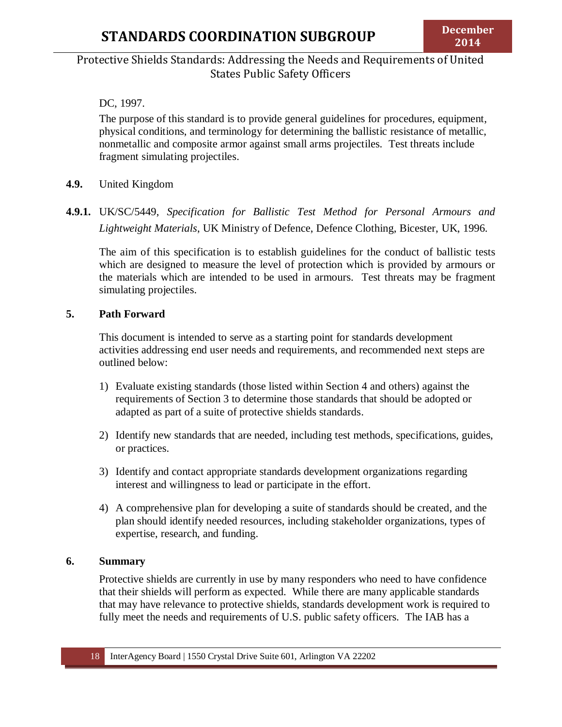### DC, 1997.

The purpose of this standard is to provide general guidelines for procedures, equipment, physical conditions, and terminology for determining the ballistic resistance of metallic, nonmetallic and composite armor against small arms projectiles. Test threats include fragment simulating projectiles.

- **4.9.** United Kingdom
- **4.9.1.** UK/SC/5449, *Specification for Ballistic Test Method for Personal Armours and Lightweight Materials*, UK Ministry of Defence, Defence Clothing, Bicester, UK, 1996.

The aim of this specification is to establish guidelines for the conduct of ballistic tests which are designed to measure the level of protection which is provided by armours or the materials which are intended to be used in armours. Test threats may be fragment simulating projectiles.

#### <span id="page-17-0"></span>**5. Path Forward**

This document is intended to serve as a starting point for standards development activities addressing end user needs and requirements, and recommended next steps are outlined below:

- 1) Evaluate existing standards (those listed within Section 4 and others) against the requirements of Section 3 to determine those standards that should be adopted or adapted as part of a suite of protective shields standards.
- 2) Identify new standards that are needed, including test methods, specifications, guides, or practices.
- 3) Identify and contact appropriate standards development organizations regarding interest and willingness to lead or participate in the effort.
- 4) A comprehensive plan for developing a suite of standards should be created, and the plan should identify needed resources, including stakeholder organizations, types of expertise, research, and funding.

#### <span id="page-17-1"></span>**6. Summary**

Protective shields are currently in use by many responders who need to have confidence that their shields will perform as expected. While there are many applicable standards that may have relevance to protective shields, standards development work is required to fully meet the needs and requirements of U.S. public safety officers. The IAB has a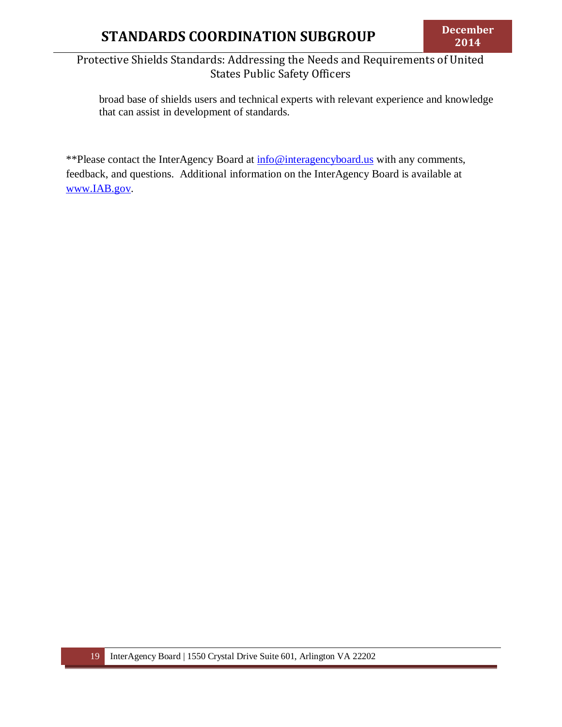broad base of shields users and technical experts with relevant experience and knowledge that can assist in development of standards.

\*\*Please contact the InterAgency Board at  $\frac{info@interagencyboard.us}{info@interagencyboard.us}$  with any comments, feedback, and questions. Additional information on the InterAgency Board is available at [www.IAB.gov.](http://www.iab.gov/)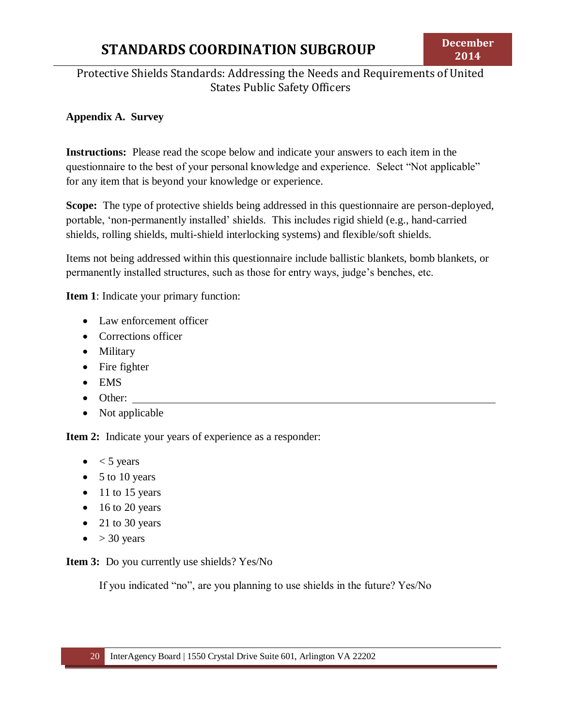# Protective Shields Standards: Addressing the Needs and Requirements of United States Public Safety Officers

### <span id="page-19-0"></span>**Appendix A. Survey**

**Instructions:** Please read the scope below and indicate your answers to each item in the questionnaire to the best of your personal knowledge and experience. Select "Not applicable" for any item that is beyond your knowledge or experience.

**Scope:** The type of protective shields being addressed in this questionnaire are person-deployed, portable, 'non-permanently installed' shields. This includes rigid shield (e.g., hand-carried shields, rolling shields, multi-shield interlocking systems) and flexible/soft shields.

Items not being addressed within this questionnaire include ballistic blankets, bomb blankets, or permanently installed structures, such as those for entry ways, judge's benches, etc.

**Item 1**: Indicate your primary function:

- Law enforcement officer
- Corrections officer
- Military
- Fire fighter
- EMS
- Other:
- Not applicable

**Item 2:** Indicate your years of experience as a responder:

- $\bullet \quad$  < 5 years
- $\bullet$  5 to 10 years
- $\bullet$  11 to 15 years
- $\bullet$  16 to 20 years
- 21 to 30 years
- $\bullet$  > 30 years

**Item 3:** Do you currently use shields? Yes/No

If you indicated "no", are you planning to use shields in the future? Yes/No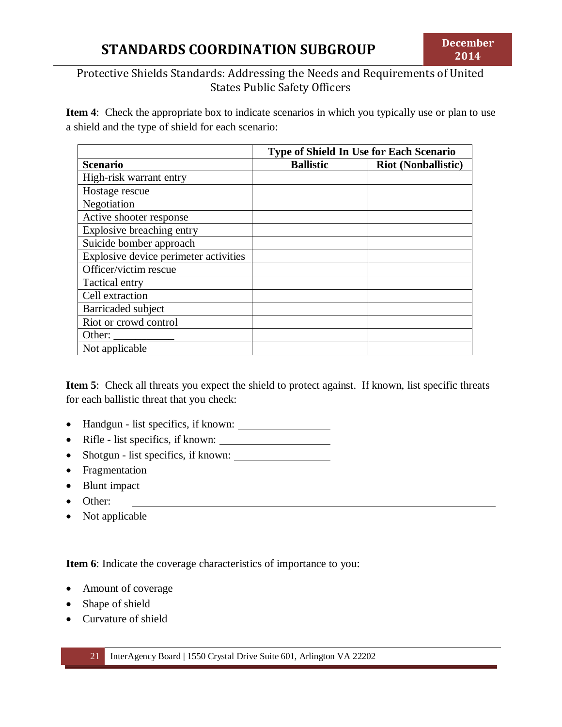**Item 4**: Check the appropriate box to indicate scenarios in which you typically use or plan to use a shield and the type of shield for each scenario:

|                                       | Type of Shield In Use for Each Scenario |                            |  |
|---------------------------------------|-----------------------------------------|----------------------------|--|
| <b>Scenario</b>                       | <b>Ballistic</b>                        | <b>Riot (Nonballistic)</b> |  |
| High-risk warrant entry               |                                         |                            |  |
| Hostage rescue                        |                                         |                            |  |
| Negotiation                           |                                         |                            |  |
| Active shooter response               |                                         |                            |  |
| Explosive breaching entry             |                                         |                            |  |
| Suicide bomber approach               |                                         |                            |  |
| Explosive device perimeter activities |                                         |                            |  |
| Officer/victim rescue                 |                                         |                            |  |
| Tactical entry                        |                                         |                            |  |
| Cell extraction                       |                                         |                            |  |
| Barricaded subject                    |                                         |                            |  |
| Riot or crowd control                 |                                         |                            |  |
| Other:                                |                                         |                            |  |
| Not applicable                        |                                         |                            |  |

**Item 5**: Check all threats you expect the shield to protect against. If known, list specific threats for each ballistic threat that you check:

- Handgun list specifics, if known:
- Rifle list specifics, if known:
- Shotgun list specifics, if known:
- Fragmentation
- Blunt impact
- Other:
- Not applicable

**Item 6**: Indicate the coverage characteristics of importance to you:

- Amount of coverage
- Shape of shield
- Curvature of shield

21 InterAgency Board | 1550 Crystal Drive Suite 601, Arlington VA 22202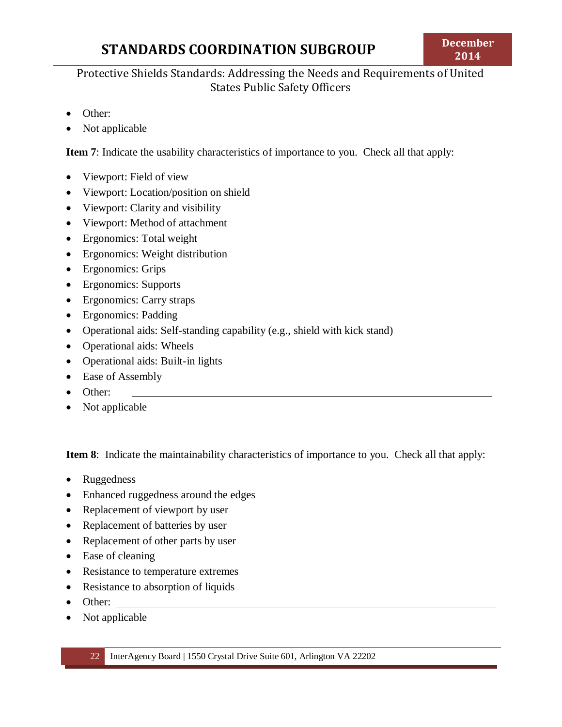# Protective Shields Standards: Addressing the Needs and Requirements of United States Public Safety Officers

- Other:
- Not applicable

**Item 7**: Indicate the usability characteristics of importance to you. Check all that apply:

- Viewport: Field of view
- Viewport: Location/position on shield
- Viewport: Clarity and visibility
- Viewport: Method of attachment
- Ergonomics: Total weight
- Ergonomics: Weight distribution
- Ergonomics: Grips
- Ergonomics: Supports
- Ergonomics: Carry straps
- Ergonomics: Padding
- Operational aids: Self-standing capability (e.g., shield with kick stand)
- Operational aids: Wheels
- Operational aids: Built-in lights
- Ease of Assembly
- Other:
- Not applicable

**Item 8**: Indicate the maintainability characteristics of importance to you. Check all that apply:

- Ruggedness
- Enhanced ruggedness around the edges
- Replacement of viewport by user
- Replacement of batteries by user
- Replacement of other parts by user
- Ease of cleaning
- Resistance to temperature extremes
- Resistance to absorption of liquids
- Other:
- Not applicable

22 InterAgency Board | 1550 Crystal Drive Suite 601, Arlington VA 22202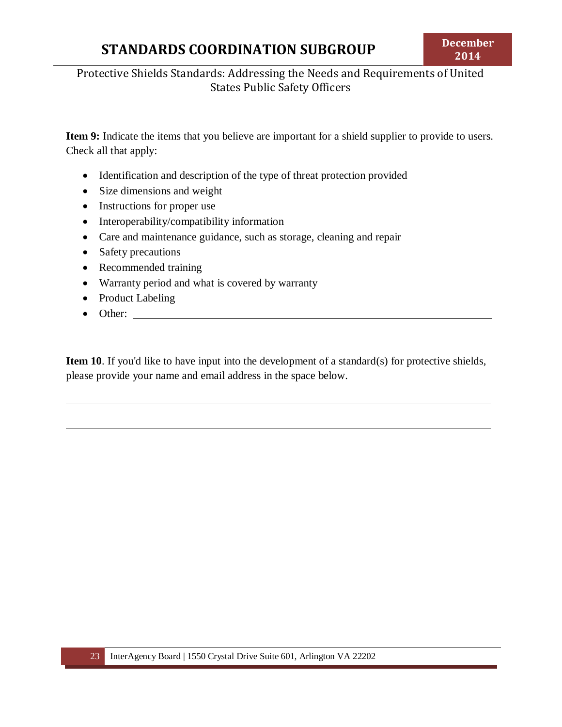# Protective Shields Standards: Addressing the Needs and Requirements of United States Public Safety Officers

**Item 9:** Indicate the items that you believe are important for a shield supplier to provide to users. Check all that apply:

- Identification and description of the type of threat protection provided
- Size dimensions and weight
- Instructions for proper use
- Interoperability/compatibility information
- Care and maintenance guidance, such as storage, cleaning and repair
- Safety precautions
- Recommended training
- Warranty period and what is covered by warranty
- Product Labeling
- Other:

**Item 10**. If you'd like to have input into the development of a standard(s) for protective shields, please provide your name and email address in the space below.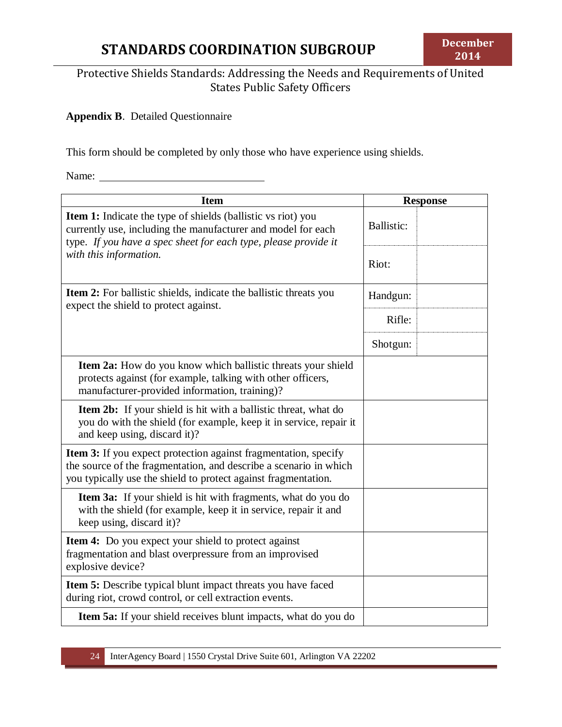# Protective Shields Standards: Addressing the Needs and Requirements of United States Public Safety Officers

### <span id="page-23-0"></span>**Appendix B**. Detailed Questionnaire

This form should be completed by only those who have experience using shields.

Name: Names

| <b>Item</b>                                                                                                                                                                                                   | <b>Response</b> |  |
|---------------------------------------------------------------------------------------------------------------------------------------------------------------------------------------------------------------|-----------------|--|
| <b>Item 1:</b> Indicate the type of shields (ballistic vs riot) you<br>currently use, including the manufacturer and model for each<br>type. If you have a spec sheet for each type, please provide it        |                 |  |
| with this information.                                                                                                                                                                                        | Riot:           |  |
| Item 2: For ballistic shields, indicate the ballistic threats you<br>expect the shield to protect against.                                                                                                    |                 |  |
|                                                                                                                                                                                                               | Rifle:          |  |
|                                                                                                                                                                                                               | Shotgun:        |  |
| Item 2a: How do you know which ballistic threats your shield<br>protects against (for example, talking with other officers,<br>manufacturer-provided information, training)?                                  |                 |  |
| <b>Item 2b:</b> If your shield is hit with a ballistic threat, what do<br>you do with the shield (for example, keep it in service, repair it<br>and keep using, discard it)?                                  |                 |  |
| <b>Item 3:</b> If you expect protection against fragmentation, specify<br>the source of the fragmentation, and describe a scenario in which<br>you typically use the shield to protect against fragmentation. |                 |  |
| <b>Item 3a:</b> If your shield is hit with fragments, what do you do<br>with the shield (for example, keep it in service, repair it and<br>keep using, discard it)?                                           |                 |  |
| <b>Item 4:</b> Do you expect your shield to protect against<br>fragmentation and blast overpressure from an improvised<br>explosive device?                                                                   |                 |  |
| <b>Item 5:</b> Describe typical blunt impact threats you have faced<br>during riot, crowd control, or cell extraction events.                                                                                 |                 |  |
| Item 5a: If your shield receives blunt impacts, what do you do                                                                                                                                                |                 |  |